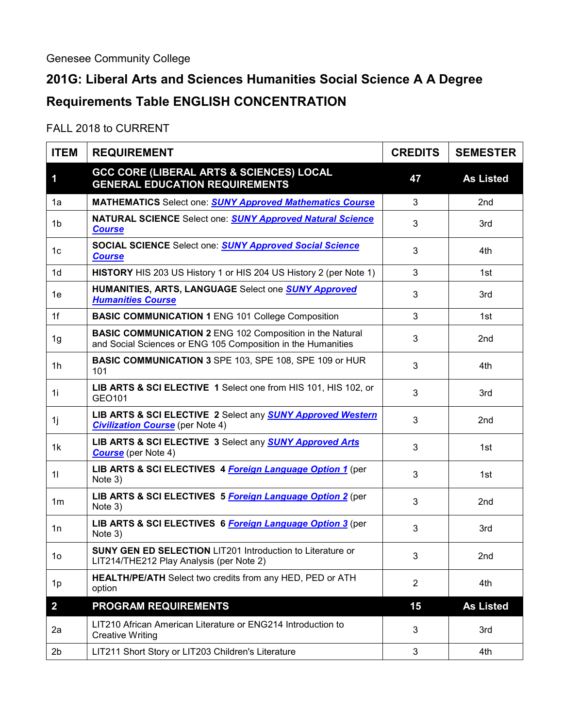## **201G: Liberal Arts and Sciences Humanities Social Science A A Degree Requirements Table ENGLISH CONCENTRATION**

## FALL 2018 to CURRENT

| <b>ITEM</b>    | <b>REQUIREMENT</b>                                                                                                              | <b>CREDITS</b> | <b>SEMESTER</b>  |
|----------------|---------------------------------------------------------------------------------------------------------------------------------|----------------|------------------|
| 1              | <b>GCC CORE (LIBERAL ARTS &amp; SCIENCES) LOCAL</b><br><b>GENERAL EDUCATION REQUIREMENTS</b>                                    | 47             | <b>As Listed</b> |
| 1a             | <b>MATHEMATICS Select one: SUNY Approved Mathematics Course</b>                                                                 | 3              | 2nd              |
| 1b             | NATURAL SCIENCE Select one: <b>SUNY Approved Natural Science</b><br><b>Course</b>                                               | 3              | 3rd              |
| 1c             | <b>SOCIAL SCIENCE</b> Select one: <b>SUNY Approved Social Science</b><br><b>Course</b>                                          | 3              | 4th              |
| 1 <sub>d</sub> | HISTORY HIS 203 US History 1 or HIS 204 US History 2 (per Note 1)                                                               | 3              | 1st              |
| 1e             | HUMANITIES, ARTS, LANGUAGE Select one SUNY Approved<br><b>Humanities Course</b>                                                 | 3              | 3rd              |
| 1f             | <b>BASIC COMMUNICATION 1 ENG 101 College Composition</b>                                                                        | 3              | 1st              |
| 1g             | <b>BASIC COMMUNICATION 2 ENG 102 Composition in the Natural</b><br>and Social Sciences or ENG 105 Composition in the Humanities | 3              | 2nd              |
| 1 <sub>h</sub> | <b>BASIC COMMUNICATION 3 SPE 103, SPE 108, SPE 109 or HUR</b><br>101                                                            | 3              | 4th              |
| 1i             | LIB ARTS & SCI ELECTIVE 1 Select one from HIS 101, HIS 102, or<br>GEO101                                                        | 3              | 3rd              |
| 1j             | LIB ARTS & SCI ELECTIVE 2 Select any <b>SUNY Approved Western</b><br><b>Civilization Course</b> (per Note 4)                    | 3              | 2nd              |
| 1 <sub>k</sub> | LIB ARTS & SCI ELECTIVE 3 Select any <b>SUNY Approved Arts</b><br><b>Course</b> (per Note 4)                                    | 3              | 1st              |
| 11             | LIB ARTS & SCI ELECTIVES 4 Foreign Language Option 1 (per<br>Note 3)                                                            | 3              | 1st              |
| 1 <sub>m</sub> | LIB ARTS & SCI ELECTIVES 5 Foreign Language Option 2 (per<br>Note 3)                                                            | 3              | 2nd              |
| 1n             | LIB ARTS & SCI ELECTIVES 6 Foreign Language Option 3 (per<br>Note 3)                                                            | 3              | 3rd              |
| 10             | <b>SUNY GEN ED SELECTION LIT201 Introduction to Literature or</b><br>LIT214/THE212 Play Analysis (per Note 2)                   | 3              | 2nd              |
| 1p             | HEALTH/PE/ATH Select two credits from any HED, PED or ATH<br>option                                                             | $\overline{2}$ | 4th              |
| $\overline{2}$ | <b>PROGRAM REQUIREMENTS</b>                                                                                                     | 15             | <b>As Listed</b> |
| 2a             | LIT210 African American Literature or ENG214 Introduction to<br><b>Creative Writing</b>                                         | $\mathbf{3}$   | 3rd              |
| 2 <sub>b</sub> | LIT211 Short Story or LIT203 Children's Literature                                                                              | 3              | 4th              |